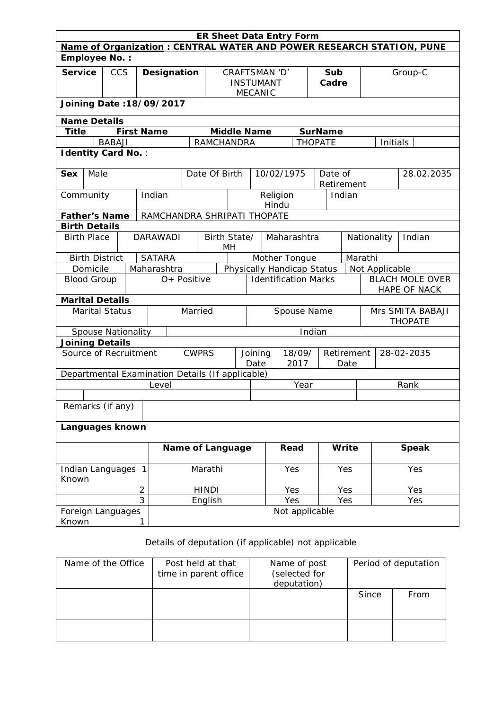| <b>ER Sheet Data Entry Form</b>                                      |                                 |                           |                   |               |                                           |         |                             |                  |  |                                   |                |                |                                        |                       |            |                |                                    |              |
|----------------------------------------------------------------------|---------------------------------|---------------------------|-------------------|---------------|-------------------------------------------|---------|-----------------------------|------------------|--|-----------------------------------|----------------|----------------|----------------------------------------|-----------------------|------------|----------------|------------------------------------|--------------|
| Name of Organization: CENTRAL WATER AND POWER RESEARCH STATION, PUNE |                                 |                           |                   |               |                                           |         |                             |                  |  |                                   |                |                |                                        |                       |            |                |                                    |              |
| <b>Employee No.:</b>                                                 |                                 |                           |                   |               |                                           |         |                             |                  |  |                                   |                |                |                                        |                       |            |                |                                    |              |
| <b>Service</b>                                                       | <b>CCS</b><br>Designation       |                           |                   |               | CRAFTSMAN 'D'                             |         |                             |                  |  |                                   | Sub<br>Group-C |                |                                        |                       |            |                |                                    |              |
|                                                                      |                                 |                           |                   |               |                                           |         |                             | <b>INSTUMANT</b> |  |                                   |                | Cadre          |                                        |                       |            |                |                                    |              |
|                                                                      |                                 |                           |                   |               |                                           |         |                             |                  |  | <b>MECANIC</b>                    |                |                |                                        |                       |            |                |                                    |              |
|                                                                      | <b>Joining Date: 18/09/2017</b> |                           |                   |               |                                           |         |                             |                  |  |                                   |                |                |                                        |                       |            |                |                                    |              |
| <b>Name Details</b>                                                  |                                 |                           |                   |               |                                           |         |                             |                  |  |                                   |                |                |                                        |                       |            |                |                                    |              |
| <b>Title</b>                                                         |                                 |                           | <b>First Name</b> |               |                                           |         |                             |                  |  | <b>Middle Name</b>                |                |                | <b>SurName</b>                         |                       |            |                |                                    |              |
| <b>BABAJI</b><br><b>RAMCHANDRA</b><br><b>THOPATE</b><br>Initials     |                                 |                           |                   |               |                                           |         |                             |                  |  |                                   |                |                |                                        |                       |            |                |                                    |              |
|                                                                      | <b>Identity Card No.:</b>       |                           |                   |               |                                           |         |                             |                  |  |                                   |                |                |                                        |                       |            |                |                                    |              |
| <b>Sex</b>                                                           | Male                            |                           |                   |               |                                           |         | Date Of Birth               |                  |  |                                   |                | 10/02/1975     |                                        | Date of               |            |                |                                    | 28.02.2035   |
|                                                                      |                                 |                           |                   |               |                                           |         |                             |                  |  |                                   |                |                |                                        |                       | Retirement |                |                                    |              |
| Community                                                            |                                 |                           |                   | Indian        |                                           |         |                             |                  |  |                                   | Religion       |                |                                        | Indian                |            |                |                                    |              |
|                                                                      |                                 |                           |                   |               |                                           |         |                             |                  |  |                                   | Hindu          |                |                                        |                       |            |                |                                    |              |
| <b>Father's Name</b>                                                 |                                 |                           |                   |               | RAMCHANDRA SHRIPATI THOPATE               |         |                             |                  |  |                                   |                |                |                                        |                       |            |                |                                    |              |
| <b>Birth Details</b>                                                 |                                 |                           |                   |               |                                           |         |                             |                  |  |                                   |                |                |                                        |                       |            |                |                                    |              |
| <b>Birth Place</b>                                                   |                                 |                           |                   |               | Birth State/<br><b>DARAWADI</b><br>MH     |         |                             |                  |  | Maharashtra                       |                |                |                                        | Nationality<br>Indian |            |                |                                    |              |
| <b>Birth District</b>                                                |                                 |                           |                   | <b>SATARA</b> |                                           |         |                             |                  |  |                                   |                | Mother Tongue  |                                        |                       | Marathi    |                |                                    |              |
| Domicile                                                             |                                 |                           |                   |               | Maharashtra<br>Physically Handicap Status |         |                             |                  |  |                                   |                |                |                                        |                       |            | Not Applicable |                                    |              |
| <b>Blood Group</b>                                                   |                                 |                           |                   |               | O+ Positive                               |         | <b>Identification Marks</b> |                  |  |                                   |                |                | <b>BLACH MOLE OVER</b><br>HAPE OF NACK |                       |            |                |                                    |              |
| <b>Marital Details</b>                                               |                                 |                           |                   |               |                                           |         |                             |                  |  |                                   |                |                |                                        |                       |            |                |                                    |              |
|                                                                      |                                 | <b>Marital Status</b>     |                   |               |                                           | Married | Spouse Name                 |                  |  |                                   |                |                |                                        |                       |            |                | Mrs SMITA BABAJI<br><b>THOPATE</b> |              |
|                                                                      |                                 | <b>Spouse Nationality</b> |                   |               |                                           |         |                             |                  |  |                                   |                |                | Indian                                 |                       |            |                |                                    |              |
| <b>Joining Details</b>                                               |                                 |                           |                   |               |                                           |         |                             |                  |  |                                   |                |                |                                        |                       |            |                |                                    |              |
| Source of Recruitment                                                |                                 |                           |                   |               | <b>CWPRS</b>                              |         |                             |                  |  | 18/09/<br>Joining<br>2017<br>Date |                |                | Retirement<br>Date                     |                       |            | 28-02-2035     |                                    |              |
| Departmental Examination Details (If applicable)                     |                                 |                           |                   |               |                                           |         |                             |                  |  |                                   |                |                |                                        |                       |            |                |                                    |              |
|                                                                      |                                 |                           |                   | Level         |                                           |         |                             | Year             |  |                                   |                |                | Rank                                   |                       |            |                |                                    |              |
|                                                                      |                                 |                           |                   |               |                                           |         |                             |                  |  |                                   |                |                |                                        |                       |            |                |                                    |              |
| Remarks (if any)                                                     |                                 |                           |                   |               |                                           |         |                             |                  |  |                                   |                |                |                                        |                       |            |                |                                    |              |
| Languages known                                                      |                                 |                           |                   |               |                                           |         |                             |                  |  |                                   |                |                |                                        |                       |            |                |                                    |              |
|                                                                      |                                 |                           |                   |               | <b>Name of Language</b>                   |         |                             |                  |  |                                   |                | Read           |                                        | Write                 |            |                |                                    | <b>Speak</b> |
| Indian Languages 1<br>Known                                          |                                 |                           |                   | Marathi       |                                           |         |                             |                  |  | Yes                               |                | Yes            |                                        |                       |            |                | Yes                                |              |
|                                                                      |                                 |                           | $\overline{2}$    |               |                                           |         | <b>HINDI</b>                |                  |  |                                   |                | Yes            |                                        | Yes                   |            |                |                                    | Yes          |
|                                                                      |                                 |                           | 3                 |               |                                           |         | English                     |                  |  |                                   |                | Yes            |                                        | Yes                   |            |                |                                    | Yes          |
| Foreign Languages<br>Known                                           |                                 |                           | 1                 |               |                                           |         |                             |                  |  |                                   |                | Not applicable |                                        |                       |            |                |                                    |              |

## Details of deputation (if applicable) not applicable

| Name of the Office | Post held at that<br>time in parent office | Name of post<br>(selected for<br>deputation) | Period of deputation |      |  |  |
|--------------------|--------------------------------------------|----------------------------------------------|----------------------|------|--|--|
|                    |                                            |                                              | Since                | From |  |  |
|                    |                                            |                                              |                      |      |  |  |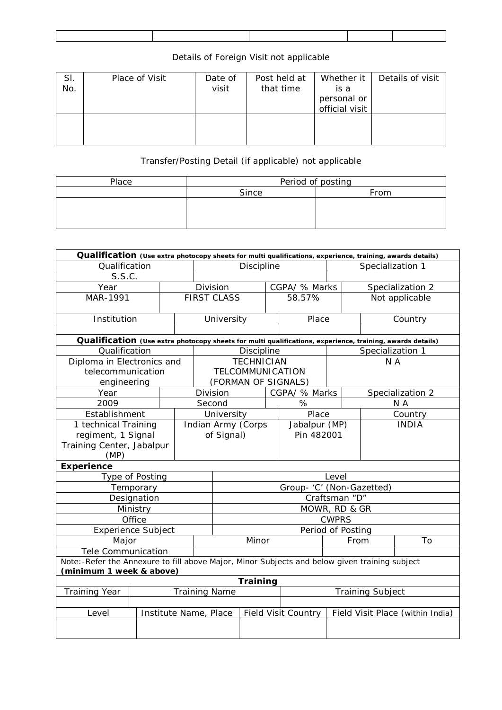## Details of Foreign Visit not applicable

| SI.<br>No. | Place of Visit | Date of<br>visit | Post held at<br>that time | Whether it<br>is a<br>personal or<br>official visit | Details of visit |
|------------|----------------|------------------|---------------------------|-----------------------------------------------------|------------------|
|            |                |                  |                           |                                                     |                  |

## Transfer/Posting Detail (if applicable) not applicable

| Place | Period of posting |      |  |  |  |  |  |
|-------|-------------------|------|--|--|--|--|--|
|       | Since             | From |  |  |  |  |  |
|       |                   |      |  |  |  |  |  |
|       |                   |      |  |  |  |  |  |
|       |                   |      |  |  |  |  |  |

| Qualification (Use extra photocopy sheets for multi qualifications, experience, training, awards details)                 |  |  |                       |                      |                   |                            |                           |                                  |                         |                  |  |
|---------------------------------------------------------------------------------------------------------------------------|--|--|-----------------------|----------------------|-------------------|----------------------------|---------------------------|----------------------------------|-------------------------|------------------|--|
| Qualification                                                                                                             |  |  |                       | <b>Discipline</b>    |                   |                            |                           | Specialization 1                 |                         |                  |  |
| S.S.C.                                                                                                                    |  |  |                       |                      |                   |                            |                           |                                  |                         |                  |  |
| Year                                                                                                                      |  |  |                       | Division             |                   |                            | CGPA/ % Marks             |                                  | Specialization 2        |                  |  |
| MAR-1991                                                                                                                  |  |  |                       | <b>FIRST CLASS</b>   |                   | 58.57%                     |                           |                                  |                         | Not applicable   |  |
| Institution                                                                                                               |  |  |                       | University           |                   |                            | Place                     |                                  |                         | Country          |  |
|                                                                                                                           |  |  |                       |                      |                   |                            |                           |                                  |                         |                  |  |
| Qualification (Use extra photocopy sheets for multi qualifications, experience, training, awards details)                 |  |  |                       |                      |                   |                            |                           |                                  |                         |                  |  |
| Qualification                                                                                                             |  |  |                       |                      | <b>Discipline</b> |                            |                           |                                  | Specialization 1        |                  |  |
| Diploma in Electronics and                                                                                                |  |  |                       |                      | <b>TECHNICIAN</b> |                            |                           |                                  | N A                     |                  |  |
| telecommunication                                                                                                         |  |  |                       |                      | TELCOMMUNICATION  |                            |                           |                                  |                         |                  |  |
| engineering                                                                                                               |  |  |                       |                      |                   |                            | (FORMAN OF SIGNALS)       |                                  |                         |                  |  |
| Year                                                                                                                      |  |  |                       | Division             |                   |                            | CGPA/ % Marks             |                                  |                         | Specialization 2 |  |
| 2009                                                                                                                      |  |  |                       | Second               |                   |                            | %                         |                                  | N A                     |                  |  |
| Establishment                                                                                                             |  |  | University            |                      |                   |                            | Place                     |                                  | Country                 |                  |  |
| 1 technical Training                                                                                                      |  |  | Indian Army (Corps    |                      |                   |                            | Jabalpur (MP)             |                                  | <b>INDIA</b>            |                  |  |
| regiment, 1 Signal                                                                                                        |  |  | of Signal)            |                      |                   |                            | Pin 482001                |                                  |                         |                  |  |
| Training Center, Jabalpur                                                                                                 |  |  |                       |                      |                   |                            |                           |                                  |                         |                  |  |
| (MP)                                                                                                                      |  |  |                       |                      |                   |                            |                           |                                  |                         |                  |  |
| <b>Experience</b>                                                                                                         |  |  |                       |                      |                   |                            |                           |                                  |                         |                  |  |
| Type of Posting                                                                                                           |  |  |                       |                      |                   |                            |                           | Level                            |                         |                  |  |
| Temporary                                                                                                                 |  |  |                       |                      |                   |                            | Group- 'C' (Non-Gazetted) |                                  |                         |                  |  |
| Designation                                                                                                               |  |  | Craftsman "D"         |                      |                   |                            |                           |                                  |                         |                  |  |
| Ministry                                                                                                                  |  |  |                       | MOWR, RD & GR        |                   |                            |                           |                                  |                         |                  |  |
| Office                                                                                                                    |  |  |                       |                      |                   |                            |                           | <b>CWPRS</b>                     |                         |                  |  |
| <b>Experience Subject</b>                                                                                                 |  |  |                       | Period of Posting    |                   |                            |                           |                                  |                         |                  |  |
| Major                                                                                                                     |  |  |                       | Minor                |                   |                            |                           | From                             |                         | To               |  |
| <b>Tele Communication</b>                                                                                                 |  |  |                       |                      |                   |                            |                           |                                  |                         |                  |  |
| Note:-Refer the Annexure to fill above Major, Minor Subjects and below given training subject<br>(minimum 1 week & above) |  |  |                       |                      |                   |                            |                           |                                  |                         |                  |  |
| <b>Training</b>                                                                                                           |  |  |                       |                      |                   |                            |                           |                                  |                         |                  |  |
| <b>Training Year</b>                                                                                                      |  |  |                       | <b>Training Name</b> |                   |                            |                           |                                  | <b>Training Subject</b> |                  |  |
|                                                                                                                           |  |  |                       |                      |                   |                            |                           |                                  |                         |                  |  |
| Level                                                                                                                     |  |  | Institute Name, Place |                      |                   | <b>Field Visit Country</b> |                           | Field Visit Place (within India) |                         |                  |  |
|                                                                                                                           |  |  |                       |                      |                   |                            |                           |                                  |                         |                  |  |